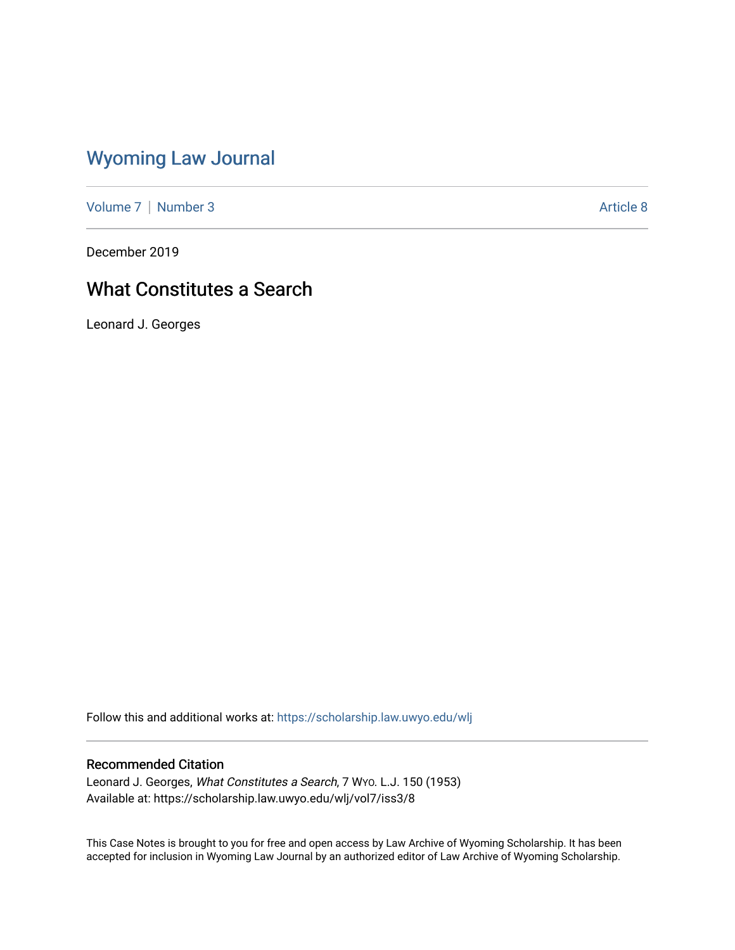# [Wyoming Law Journal](https://scholarship.law.uwyo.edu/wlj)

[Volume 7](https://scholarship.law.uwyo.edu/wlj/vol7) | [Number 3](https://scholarship.law.uwyo.edu/wlj/vol7/iss3) Article 8

December 2019

## What Constitutes a Search

Leonard J. Georges

Follow this and additional works at: [https://scholarship.law.uwyo.edu/wlj](https://scholarship.law.uwyo.edu/wlj?utm_source=scholarship.law.uwyo.edu%2Fwlj%2Fvol7%2Fiss3%2F8&utm_medium=PDF&utm_campaign=PDFCoverPages) 

### Recommended Citation

Leonard J. Georges, What Constitutes a Search, 7 WYO. L.J. 150 (1953) Available at: https://scholarship.law.uwyo.edu/wlj/vol7/iss3/8

This Case Notes is brought to you for free and open access by Law Archive of Wyoming Scholarship. It has been accepted for inclusion in Wyoming Law Journal by an authorized editor of Law Archive of Wyoming Scholarship.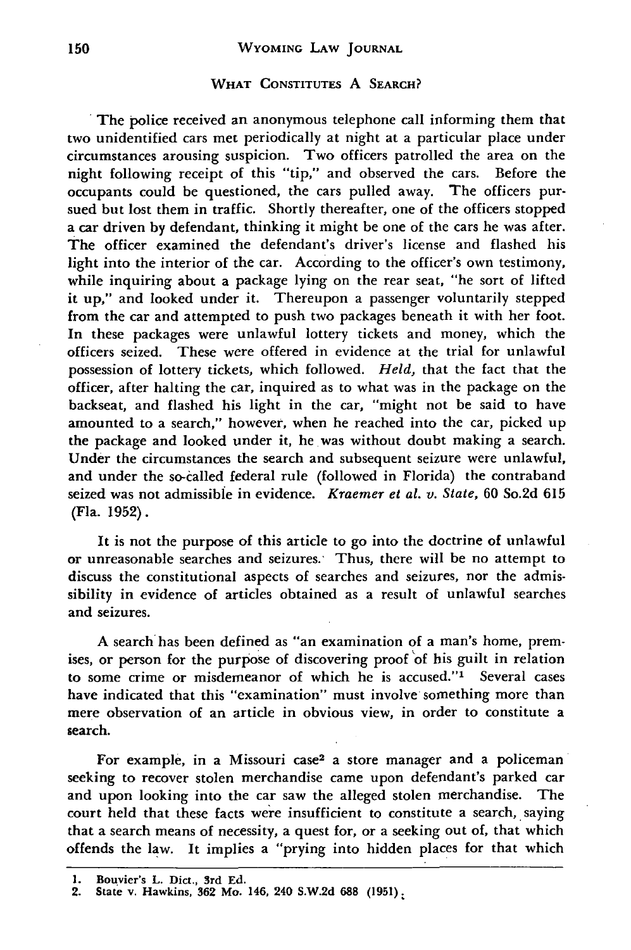#### **WYOMING LAW JOURNAL**

#### **WHAT CONSTITUTES A SEARCH?**

The police received an anonymous telephone call informing them that two unidentified cars met periodically at night at a particular place under circumstances arousing suspicion. Two officers patrolled the area on the night following receipt of this "tip," and observed the cars. Before the occupants could be questioned, the cars pulled away. The officers pursued but lost them in traffic. Shortly thereafter, one of the officers stopped a car driven by defendant, thinking it might be one of the cars he was after. The officer examined the defendant's driver's license and flashed his light into the interior of the car. According to the officer's own testimony, while inquiring about a package lying on the rear seat, "he sort of lifted it up," and looked under it. Thereupon a passenger voluntarily stepped from the car and attempted to push two packages beneath it with her foot. In these packages were unlawful lottery tickets and money, which the officers seized. These were offered in evidence at the trial for unlawful possession of lottery tickets, which followed. *Held,* that the fact that the officer, after halting the car, inquired as to what was in the package on the backseat, and flashed his light in the car, "might not be said to have amounted to a search," however, when he reached into the car, picked up the package and looked under it, he was without doubt making a search. Under the circumstances the search and subsequent seizure were unlawful, and under the so-called federal rule (followed in Florida) the contraband seized was not admissible in evidence. *Kraemer et al. v. State,* 60 So.2d 615 (Fla. **1952).**

It is not the purpose of this article to go into the doctrine of unlawful or unreasonable searches and seizures.' Thus, there will be no attempt to discuss the constitutional aspects of searches and seizures, nor the admissibility in evidence of articles obtained as a result of unlawful searches and seizures.

**A** search has been defined as "an examination of a man's home, premises, or person for the purpose of discovering proof of his guilt in relation to some crime or misdemeanor of which he is accused."' Several cases have indicated that this "examination" must involve something more than mere observation of an article in obvious view, in order to constitute a search.

For example, in a Missouri case2 a store manager and a policeman seeking to recover stolen merchandise came upon defendant's parked car and upon looking into the car saw the alleged stolen merchandise. The court held that these facts were insufficient to constitute a search, saying that a search means of necessity, a quest for, or a seeking out of, that which offends the law. It implies a "prying into hidden places for that which

**<sup>1.</sup>** Bou vier's L. Dict., 3rd **Ed.**

<sup>2.</sup> State v. Hawkins, **362** Mo. 146, 240 S.W.2d **688 (1951)**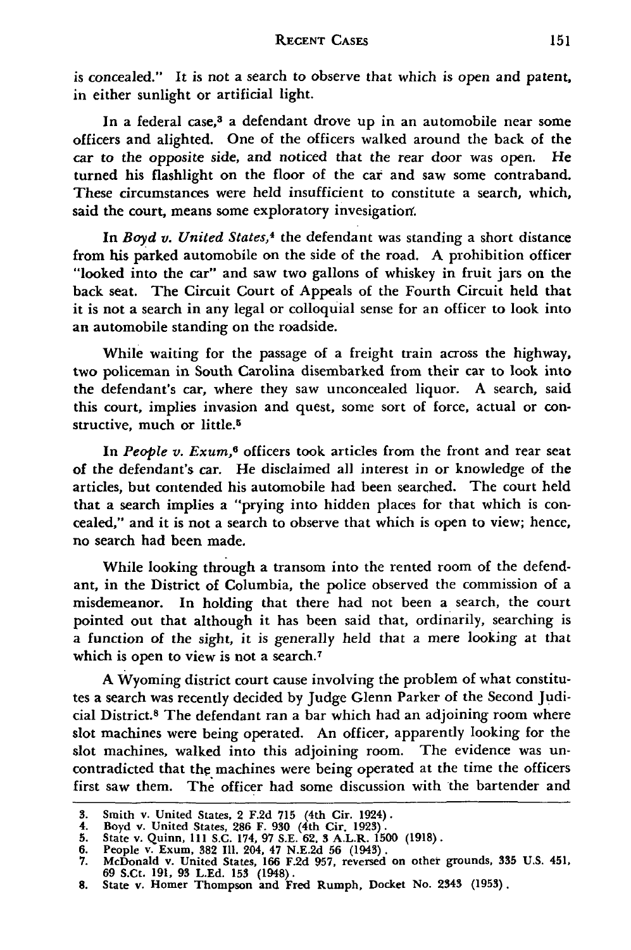is concealed." It is not a search to observe that which is open and patent, in either sunlight or artificial light.

In a federal case,<sup>3</sup> a defendant drove up in an automobile near some officers and alighted. One of the officers walked around the back of the car to the opposite side, and noticed that the rear door was open. He turned his flashlight on the floor of the car and saw some contraband. These circumstances were held insufficient to constitute a search, which, said the court, means some exploratory invesigation.

In *Boyd v. United States*,<sup>4</sup> the defendant was standing a short distance from his parked automobile on the side of the road. A prohibition officer "looked into the car" and saw two gallons of whiskey in fruit jars on the back seat. The Circuit Court of Appeals of the Fourth Circuit held that it is not a search in any legal or colloquial sense for an officer to look into an automobile standing on the roadside.

While waiting for the passage of a freight train across the highway, two policeman in South Carolina disembarked from their car to look into the defendant's car, where they saw unconcealed liquor. A search, said this court, implies invasion and quest, some sort of force, actual or constructive, much or little.<sup>5</sup>

In *People v. Exum,6* officers took articles from the front and rear seat of the defendant's car. He disclaimed all interest in or knowledge of the articles, but contended his automobile had been searched. The court held that a search implies a "prying into hidden places for that which is concealed," and it is not a search to observe that which is open to view; hence, no search had been made.

While looking through a transom into the rented room of the defendant, in the District of Columbia, the police observed the commission of a misdemeanor. In holding that there had not been a search, the court pointed out that although it has been said that, ordinarily, searching is a function of the sight, it is generally held that a mere looking at that which is open to view is not a search.<sup>7</sup>

A Wyoming district court cause involving the problem of what constitutes a search was recently decided by Judge Glenn Parker of the Second Judicial District.8 The defendant ran a bar which had an adjoining room where slot machines were being operated. An officer, apparently looking for the slot machines, walked into this adjoining room. The evidence was uncontradicted that the machines were being operated at the time the officers first saw them. The officer had some discussion with the bartender and

**<sup>3.</sup>** Smith v. United States, 2 F.2d 715 (4th Cir. 1924). 4. Boyd v. United States, **286** F. **930** (4th Cir. 1923).

<sup>5.</sup> State v. Quinn, 111 S.C. 174, 97 S.E. 62, 3 A.L.R. 1500 (1918).<br>6. People v. Exum, 382 Ill. 204, 47 N.E.2d 56 (1943).<br>7. McDonald v. United States, 166 F.2d 957, reversed on other grounds, 335 U.S. 451

<sup>69</sup> S.Ct. 191, **93** L.Ed. **153** (1948). 8. State v. Homer Thompson and Fred Rumph, Docket No. 2343 (1953).